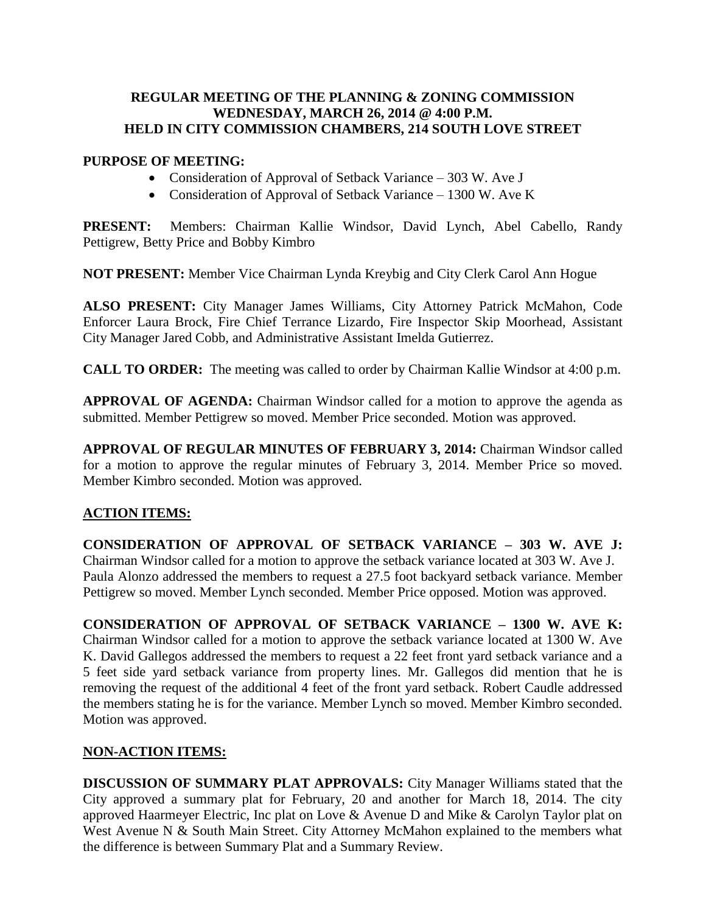### **REGULAR MEETING OF THE PLANNING & ZONING COMMISSION WEDNESDAY, MARCH 26, 2014 @ 4:00 P.M. HELD IN CITY COMMISSION CHAMBERS, 214 SOUTH LOVE STREET**

#### **PURPOSE OF MEETING:**

- Consideration of Approval of Setback Variance 303 W. Ave J
- Consideration of Approval of Setback Variance 1300 W. Ave K

**PRESENT:** Members: Chairman Kallie Windsor, David Lynch, Abel Cabello, Randy Pettigrew, Betty Price and Bobby Kimbro

**NOT PRESENT:** Member Vice Chairman Lynda Kreybig and City Clerk Carol Ann Hogue

**ALSO PRESENT:** City Manager James Williams, City Attorney Patrick McMahon, Code Enforcer Laura Brock, Fire Chief Terrance Lizardo, Fire Inspector Skip Moorhead, Assistant City Manager Jared Cobb, and Administrative Assistant Imelda Gutierrez.

**CALL TO ORDER:** The meeting was called to order by Chairman Kallie Windsor at 4:00 p.m.

**APPROVAL OF AGENDA:** Chairman Windsor called for a motion to approve the agenda as submitted. Member Pettigrew so moved. Member Price seconded. Motion was approved.

**APPROVAL OF REGULAR MINUTES OF FEBRUARY 3, 2014:** Chairman Windsor called for a motion to approve the regular minutes of February 3, 2014. Member Price so moved. Member Kimbro seconded. Motion was approved.

## **ACTION ITEMS:**

**CONSIDERATION OF APPROVAL OF SETBACK VARIANCE – 303 W. AVE J:** Chairman Windsor called for a motion to approve the setback variance located at 303 W. Ave J. Paula Alonzo addressed the members to request a 27.5 foot backyard setback variance. Member Pettigrew so moved. Member Lynch seconded. Member Price opposed. Motion was approved.

**CONSIDERATION OF APPROVAL OF SETBACK VARIANCE – 1300 W. AVE K:** Chairman Windsor called for a motion to approve the setback variance located at 1300 W. Ave K. David Gallegos addressed the members to request a 22 feet front yard setback variance and a 5 feet side yard setback variance from property lines. Mr. Gallegos did mention that he is removing the request of the additional 4 feet of the front yard setback. Robert Caudle addressed the members stating he is for the variance. Member Lynch so moved. Member Kimbro seconded. Motion was approved.

## **NON-ACTION ITEMS:**

**DISCUSSION OF SUMMARY PLAT APPROVALS:** City Manager Williams stated that the City approved a summary plat for February, 20 and another for March 18, 2014. The city approved Haarmeyer Electric, Inc plat on Love & Avenue D and Mike & Carolyn Taylor plat on West Avenue N & South Main Street. City Attorney McMahon explained to the members what the difference is between Summary Plat and a Summary Review.